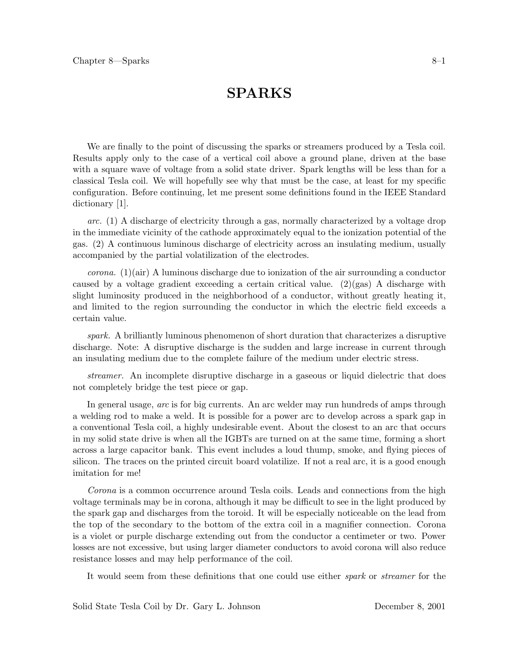# **SPARKS SPARKS**

We are finally to the point of discussing the sparks or streamers produced by a Tesla coil. Results apply only to the case of a vertical coil above a ground plane, driven at the base with a square wave of voltage from a solid state driver. Spark lengths will be less than for a classical Tesla coil. We will hopefully see why that must be the case, at least for my specific configuration. Before continuing, let me present some definitions found in the IEEE Standard dictionary [1].

*arc.* (1) A discharge of electricity through a gas, normally characterized by a voltage drop in the immediate vicinity of the cathode approximately equal to the ionization potential of the gas. (2) A continuous luminous discharge of electricity across an insulating medium, usually accompanied by the partial volatilization of the electrodes.

*corona.* (1)(air) A luminous discharge due to ionization of the air surrounding a conductor caused by a voltage gradient exceeding a certain critical value. (2)(gas) A discharge with slight luminosity produced in the neighborhood of a conductor, without greatly heating it, and limited to the region surrounding the conductor in which the electric field exceeds a certain value.

*spark.* A brilliantly luminous phenomenon of short duration that characterizes a disruptive discharge. Note: A disruptive discharge is the sudden and large increase in current through an insulating medium due to the complete failure of the medium under electric stress.

*streamer.* An incomplete disruptive discharge in a gaseous or liquid dielectric that does not completely bridge the test piece or gap.

In general usage, *arc* is for big currents. An arc welder may run hundreds of amps through a welding rod to make a weld. It is possible for a power arc to develop across a spark gap in a conventional Tesla coil, a highly undesirable event. About the closest to an arc that occurs in my solid state drive is when all the IGBTs are turned on at the same time, forming a short across a large capacitor bank. This event includes a loud thump, smoke, and flying pieces of silicon. The traces on the printed circuit board volatilize. If not a real arc, it is a good enough imitation for me!

*Corona* is a common occurrence around Tesla coils. Leads and connections from the high voltage terminals may be in corona, although it may be difficult to see in the light produced by the spark gap and discharges from the toroid. It will be especially noticeable on the lead from the top of the secondary to the bottom of the extra coil in a magnifier connection. Corona is a violet or purple discharge extending out from the conductor a centimeter or two. Power losses are not excessive, but using larger diameter conductors to avoid corona will also reduce resistance losses and may help performance of the coil.

It would seem from these definitions that one could use either *spark* or *streamer* for the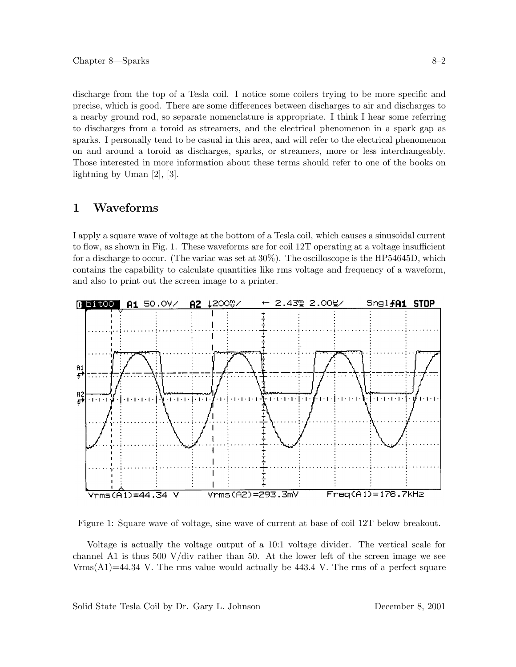discharge from the top of a Tesla coil. I notice some coilers trying to be more specific and precise, which is good. There are some differences between discharges to air and discharges to a nearby ground rod, so separate nomenclature is appropriate. I think I hear some referring to discharges from a toroid as streamers, and the electrical phenomenon in a spark gap as sparks. I personally tend to be casual in this area, and will refer to the electrical phenomenon on and around a toroid as discharges, sparks, or streamers, more or less interchangeably. Those interested in more information about these terms should refer to one of the books on lightning by Uman [2], [3].

I apply a square wave of voltage at the bottom of a Tesla coil, which causes a sinusoidal current to flow, as shown in Fig. 1. These waveforms are for coil 12T operating at a voltage insufficient for a discharge to occur. (The variac was set at 30%). The oscilloscope is the HP54645D, which contains the capability to calculate quantities like rms voltage and frequency of a waveform, and also to print out the screen image to a printer.



Figure 1: Square wave of voltage, sine wave of current at base of coil 12T below breakout.

Voltage is actually the voltage output of a 10:1 voltage divider. The vertical scale for channel A1 is thus 500 V/div rather than 50. At the lower left of the screen image we see  $V_{\rm rms}(A1)=44.34$  V. The rms value would actually be 443.4 V. The rms of a perfect square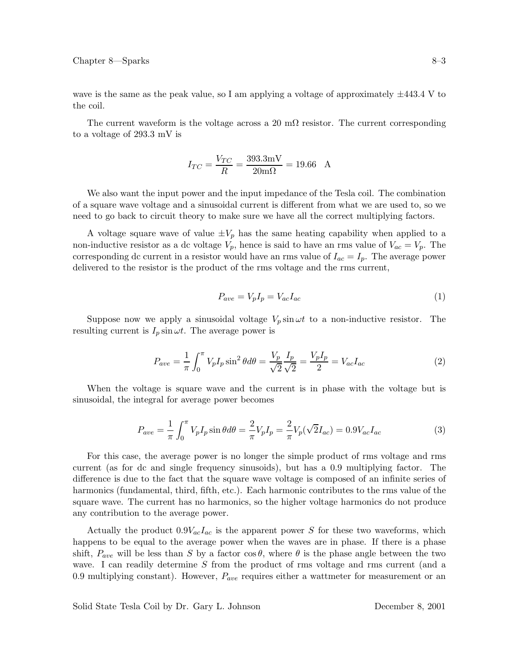wave is the same as the peak value, so I am applying a voltage of approximately  $\pm$ 443.4 V to the coil.

The current waveform is the voltage across a 20 m $\Omega$  resistor. The current corresponding to a voltage of 293.3 mV is

$$
I_{TC} = \frac{V_{TC}}{R} = \frac{393.3 \text{mV}}{20 \text{m}\Omega} = 19.66 \text{ A}
$$

We also want the input power and the input impedance of the Tesla coil. The combination of a square wave voltage and a sinusoidal current is different from what we are used to, so we need to go back to circuit theory to make sure we have all the correct multiplying factors.

A voltage square wave of value  $\pm V_p$  has the same heating capability when applied to a non-inductive resistor as a dc voltage  $V_p$ , hence is said to have an rms value of  $V_{ac} = V_p$ . The corresponding dc current in a resistor would have an rms value of  $I_{ac} = I_p$ . The average power delivered to the resistor is the product of the rms voltage and the rms current,

$$
P_{ave} = V_p I_p = V_{ac} I_{ac} \tag{1}
$$

Suppose now we apply a sinusoidal voltage  $V_p \sin \omega t$  to a non-inductive resistor. The resulting current is  $I_p \sin \omega t$ . The average power is

$$
P_{ave} = \frac{1}{\pi} \int_0^{\pi} V_p I_p \sin^2 \theta d\theta = \frac{V_p}{\sqrt{2}} \frac{I_p}{\sqrt{2}} = \frac{V_p I_p}{2} = V_{ac} I_{ac}
$$
 (2)

When the voltage is square wave and the current is in phase with the voltage but is sinusoidal, the integral for average power becomes

$$
P_{ave} = \frac{1}{\pi} \int_0^{\pi} V_p I_p \sin \theta d\theta = \frac{2}{\pi} V_p I_p = \frac{2}{\pi} V_p (\sqrt{2} I_{ac}) = 0.9 V_{ac} I_{ac}
$$
(3)

For this case, the average power is no longer the simple product of rms voltage and rms current (as for dc and single frequency sinusoids), but has a 0.9 multiplying factor. The difference is due to the fact that the square wave voltage is composed of an infinite series of harmonics (fundamental, third, fifth, etc.). Each harmonic contributes to the rms value of the square wave. The current has no harmonics, so the higher voltage harmonics do not produce any contribution to the average power.

Actually the product  $0.9V_{ac}I_{ac}$  is the apparent power S for these two waveforms, which happens to be equal to the average power when the waves are in phase. If there is a phase shift,  $P_{ave}$  will be less than S by a factor  $\cos \theta$ , where  $\theta$  is the phase angle between the two wave. I can readily determine S from the product of rms voltage and rms current (and a 0.9 multiplying constant). However,  $P_{ave}$  requires either a wattmeter for measurement or an

Solid State Tesla Coil by Dr. Gary L. Johnson December 8, 2001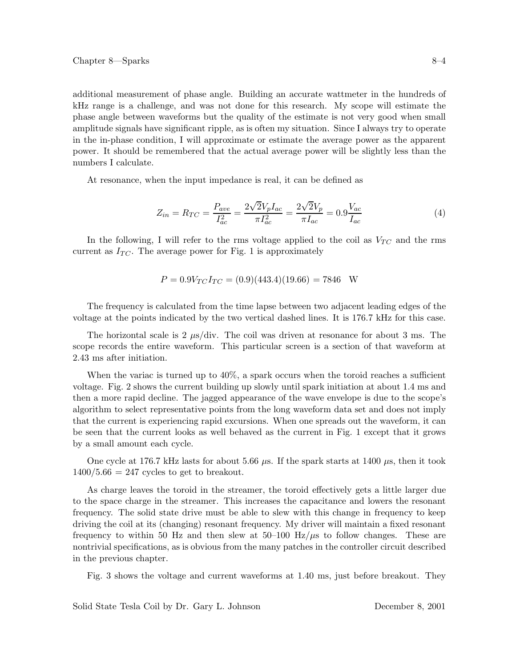additional measurement of phase angle. Building an accurate wattmeter in the hundreds of kHz range is a challenge, and was not done for this research. My scope will estimate the phase angle between waveforms but the quality of the estimate is not very good when small amplitude signals have significant ripple, as is often my situation. Since I always try to operate in the in-phase condition, I will approximate or estimate the average power as the apparent power. It should be remembered that the actual average power will be slightly less than the numbers I calculate.

At resonance, when the input impedance is real, it can be defined as

$$
Z_{in} = R_{TC} = \frac{P_{ave}}{I_{ac}^2} = \frac{2\sqrt{2}V_pI_{ac}}{\pi I_{ac}^2} = \frac{2\sqrt{2}V_p}{\pi I_{ac}} = 0.9\frac{V_{ac}}{I_{ac}}
$$
(4)

In the following, I will refer to the rms voltage applied to the coil as  $V_{TC}$  and the rms current as  $I_{TC}$ . The average power for Fig. 1 is approximately

$$
P = 0.9V_{TC}I_{TC} = (0.9)(443.4)(19.66) = 7846
$$
 W

The frequency is calculated from the time lapse between two adjacent leading edges of the voltage at the points indicated by the two vertical dashed lines. It is 176.7 kHz for this case.

The horizontal scale is 2  $\mu$ s/div. The coil was driven at resonance for about 3 ms. The scope records the entire waveform. This particular screen is a section of that waveform at 2.43 ms after initiation.

When the variac is turned up to 40%, a spark occurs when the toroid reaches a sufficient voltage. Fig. 2 shows the current building up slowly until spark initiation at about 1.4 ms and then a more rapid decline. The jagged appearance of the wave envelope is due to the scope's algorithm to select representative points from the long waveform data set and does not imply that the current is experiencing rapid excursions. When one spreads out the waveform, it can be seen that the current looks as well behaved as the current in Fig. 1 except that it grows by a small amount each cycle.

One cycle at 176.7 kHz lasts for about 5.66  $\mu$ s. If the spark starts at 1400  $\mu$ s, then it took  $1400/5.66 = 247$  cycles to get to breakout.

As charge leaves the toroid in the streamer, the toroid effectively gets a little larger due to the space charge in the streamer. This increases the capacitance and lowers the resonant frequency. The solid state drive must be able to slew with this change in frequency to keep driving the coil at its (changing) resonant frequency. My driver will maintain a fixed resonant frequency to within 50 Hz and then slew at  $50-100$  Hz/ $\mu$ s to follow changes. These are nontrivial specifications, as is obvious from the many patches in the controller circuit described in the previous chapter.

Fig. 3 shows the voltage and current waveforms at 1.40 ms, just before breakout. They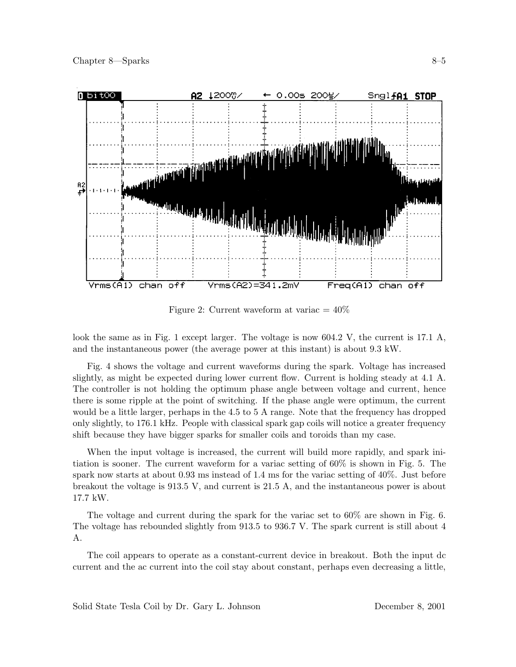

Figure 2: Current waveform at variac  $= 40\%$ 

look the same as in Fig. 1 except larger. The voltage is now 604.2 V, the current is 17.1 A, and the instantaneous power (the average power at this instant) is about 9.3 kW.

Fig. 4 shows the voltage and current waveforms during the spark. Voltage has increased slightly, as might be expected during lower current flow. Current is holding steady at 4.1 A. The controller is not holding the optimum phase angle between voltage and current, hence there is some ripple at the point of switching. If the phase angle were optimum, the current would be a little larger, perhaps in the 4.5 to 5 A range. Note that the frequency has dropped only slightly, to 176.1 kHz. People with classical spark gap coils will notice a greater frequency shift because they have bigger sparks for smaller coils and toroids than my case.

When the input voltage is increased, the current will build more rapidly, and spark initiation is sooner. The current waveform for a variac setting of 60% is shown in Fig. 5. The spark now starts at about 0.93 ms instead of 1.4 ms for the variac setting of 40%. Just before breakout the voltage is 913.5 V, and current is 21.5 A, and the instantaneous power is about 17.7 kW.

The voltage and current during the spark for the variac set to 60% are shown in Fig. 6. The voltage has rebounded slightly from 913.5 to 936.7 V. The spark current is still about 4 A.

The coil appears to operate as a constant-current device in breakout. Both the input dc current and the ac current into the coil stay about constant, perhaps even decreasing a little,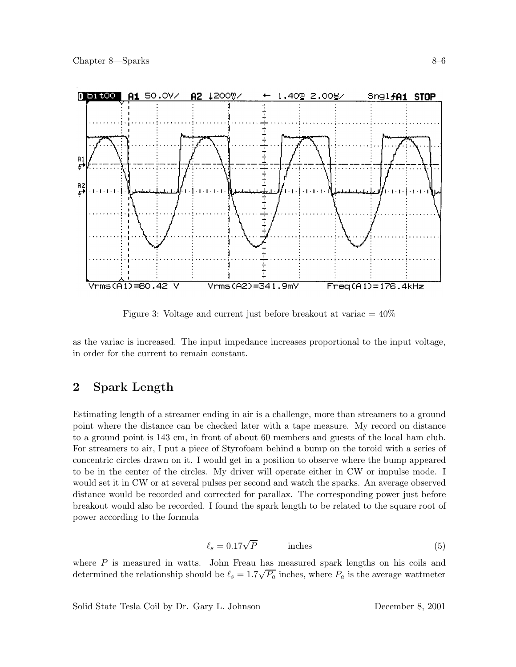

Figure 3: Voltage and current just before breakout at variac  $= 40\%$ 

as the variac is increased. The input impedance increases proportional to the input voltage, in order for the current to remain constant.

### $\overline{2}$ **2** Spark Length **2**

Estimating length of a streamer ending in air is a challenge, more than streamers to a ground point where the distance can be checked later with a tape measure. My record on distance to a ground point is 143 cm, in front of about 60 members and guests of the local ham club. For streamers to air, I put a piece of Styrofoam behind a bump on the toroid with a series of concentric circles drawn on it. I would get in a position to observe where the bump appeared to be in the center of the circles. My driver will operate either in CW or impulse mode. I would set it in CW or at several pulses per second and watch the sparks. An average observed distance would be recorded and corrected for parallax. The corresponding power just before breakout would also be recorded. I found the spark length to be related to the square root of power according to the formula

$$
\ell_s = 0.17\sqrt{P} \qquad \text{inches} \tag{5}
$$

where  $P$  is measured in watts. John Freau has measured spark lengths on his coils and determined the relationship should be  $\ell_s = 1.7\sqrt{P_a}$  inches, where  $P_a$  is the average wattmeter

Solid State Tesla Coil by Dr. Gary L. Johnson December 8, 2001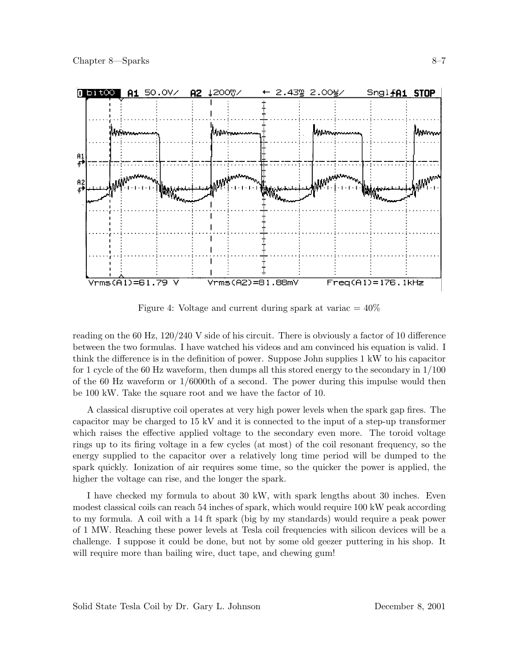

Figure 4: Voltage and current during spark at variac  $= 40\%$ 

reading on the 60 Hz, 120/240 V side of his circuit. There is obviously a factor of 10 difference between the two formulas. I have watched his videos and am convinced his equation is valid. I think the difference is in the definition of power. Suppose John supplies 1 kW to his capacitor for 1 cycle of the 60 Hz waveform, then dumps all this stored energy to the secondary in 1/100 of the 60 Hz waveform or 1/6000th of a second. The power during this impulse would then be 100 kW. Take the square root and we have the factor of 10.

A classical disruptive coil operates at very high power levels when the spark gap fires. The capacitor may be charged to 15 kV and it is connected to the input of a step-up transformer which raises the effective applied voltage to the secondary even more. The toroid voltage rings up to its firing voltage in a few cycles (at most) of the coil resonant frequency, so the energy supplied to the capacitor over a relatively long time period will be dumped to the spark quickly. Ionization of air requires some time, so the quicker the power is applied, the higher the voltage can rise, and the longer the spark.

I have checked my formula to about 30 kW, with spark lengths about 30 inches. Even modest classical coils can reach 54 inches of spark, which would require 100 kW peak according to my formula. A coil with a 14 ft spark (big by my standards) would require a peak power of 1 MW. Reaching these power levels at Tesla coil frequencies with silicon devices will be a challenge. I suppose it could be done, but not by some old geezer puttering in his shop. It will require more than bailing wire, duct tape, and chewing gum!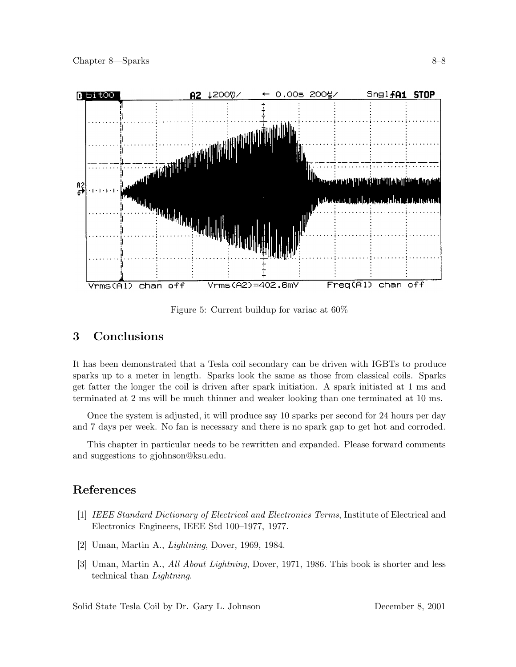

Figure 5: Current buildup for variac at 60%

### 3 **3 Conclusions**

It has been demonstrated that a Tesla coil secondary can be driven with IGBTs to produce sparks up to a meter in length. Sparks look the same as those from classical coils. Sparks get fatter the longer the coil is driven after spark initiation. A spark initiated at 1 ms and terminated at 2 ms will be much thinner and weaker looking than one terminated at 10 ms.

Once the system is adjusted, it will produce say 10 sparks per second for 24 hours per day and 7 days per week. No fan is necessary and there is no spark gap to get hot and corroded.

This chapter in particular needs to be rewritten and expanded. Please forward comments and suggestions to gjohnson@ksu.edu.

# **References**

- [1] *IEEE Standard Dictionary of Electrical and Electronics Terms*, Institute of Electrical and Electronics Engineers, IEEE Std 100–1977, 1977.
- [2] Uman, Martin A., *Lightning*, Dover, 1969, 1984.
- [3] Uman, Martin A., *All About Lightning*, Dover, 1971, 1986. This book is shorter and less technical than *Lightning*.

Solid State Tesla Coil by Dr. Gary L. Johnson December 8, 2001